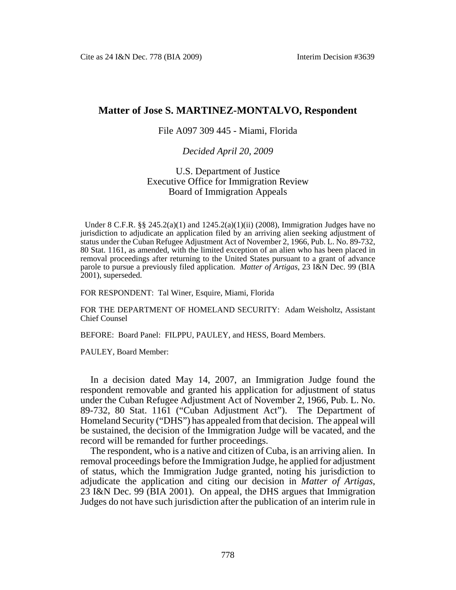## **Matter of Jose S. MARTINEZ-MONTALVO, Respondent**

## File A097 309 445 - Miami, Florida

## *Decided April 20, 2009*

## U.S. Department of Justice Executive Office for Immigration Review Board of Immigration Appeals

Under 8 C.F.R.  $\S$   $\S$   $245.2(a)(1)$  and  $1245.2(a)(1)(ii)$  (2008), Immigration Judges have no jurisdiction to adjudicate an application filed by an arriving alien seeking adjustment of status under the Cuban Refugee Adjustment Act of November 2, 1966, Pub. L. No. 89-732, 80 Stat. 1161, as amended, with the limited exception of an alien who has been placed in removal proceedings after returning to the United States pursuant to a grant of advance parole to pursue a previously filed application. *Matter of Artigas*, 23 I&N Dec. 99 (BIA 2001), superseded.

FOR RESPONDENT: Tal Winer, Esquire, Miami, Florida

FOR THE DEPARTMENT OF HOMELAND SECURITY: Adam Weisholtz, Assistant Chief Counsel

BEFORE: Board Panel: FILPPU, PAULEY, and HESS, Board Members.

PAULEY, Board Member:

In a decision dated May 14, 2007, an Immigration Judge found the respondent removable and granted his application for adjustment of status under the Cuban Refugee Adjustment Act of November 2, 1966, Pub. L. No. 89-732, 80 Stat. 1161 ("Cuban Adjustment Act"). The Department of Homeland Security ("DHS") has appealed from that decision. The appeal will be sustained, the decision of the Immigration Judge will be vacated, and the record will be remanded for further proceedings.

The respondent, who is a native and citizen of Cuba, is an arriving alien. In removal proceedings before the Immigration Judge, he applied for adjustment of status, which the Immigration Judge granted, noting his jurisdiction to adjudicate the application and citing our decision in *Matter of Artigas*, 23 I&N Dec. 99 (BIA 2001). On appeal, the DHS argues that Immigration Judges do not have such jurisdiction after the publication of an interim rule in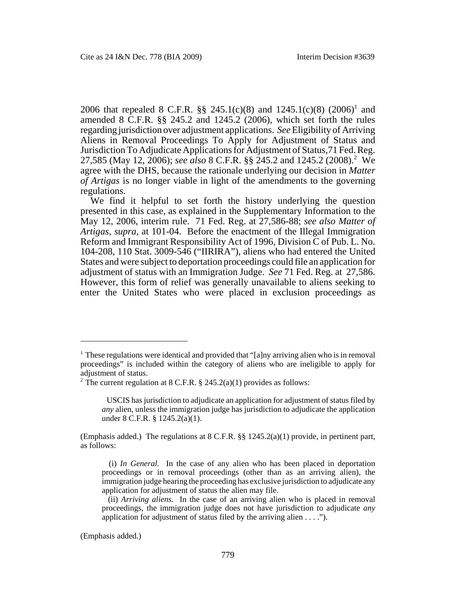2006 that repealed 8 C.F.R. §§ 245.1(c)(8) and 1245.1(c)(8) (2006)<sup>1</sup> and amended 8  $\overline{C}$ .F.R. §§ 245.2 and 1245.2 (2006), which set forth the rules regarding jurisdiction over adjustment applications. *See* Eligibility of Arriving Aliens in Removal Proceedings To Apply for Adjustment of Status and Jurisdiction To Adjudicate Applications for Adjustment of Status,71 Fed. Reg. 27,585 (May 12, 2006); *see also* 8 C.F.R. §§ 245.2 and 1245.2 (2008).2 We agree with the DHS, because the rationale underlying our decision in *Matter of Artigas* is no longer viable in light of the amendments to the governing regulations.

We find it helpful to set forth the history underlying the question presented in this case, as explained in the Supplementary Information to the May 12, 2006, interim rule. 71 Fed. Reg. at 27,586-88; *see also Matter of Artigas*, *supra*, at 101-04. Before the enactment of the Illegal Immigration Reform and Immigrant Responsibility Act of 1996, Division C of Pub. L. No. 104-208, 110 Stat. 3009-546 ("IIRIRA"), aliens who had entered the United States and were subject to deportation proceedings could file an application for adjustment of status with an Immigration Judge. *See* 71 Fed. Reg. at 27,586. However, this form of relief was generally unavailable to aliens seeking to enter the United States who were placed in exclusion proceedings as

(Emphasis added.)

<sup>&</sup>lt;sup>1</sup> These regulations were identical and provided that "[a]ny arriving alien who is in removal proceedings" is included within the category of aliens who are ineligible to apply for adjustment of status.

<sup>&</sup>lt;sup>2</sup> The current regulation at 8 C.F.R. § 245.2(a)(1) provides as follows:

USCIS has jurisdiction to adjudicate an application for adjustment of status filed by *any* alien, unless the immigration judge has jurisdiction to adjudicate the application under 8 C.F.R. § 1245.2(a)(1).

<sup>(</sup>Emphasis added.) The regulations at  $8 \text{ C.F.R.}$  §§  $1245.2(a)(1)$  provide, in pertinent part, as follows:

 <sup>(</sup>i) *In General.* In the case of any alien who has been placed in deportation proceedings or in removal proceedings (other than as an arriving alien), the immigration judge hearing the proceeding has exclusive jurisdiction to adjudicate any application for adjustment of status the alien may file.

 <sup>(</sup>ii) *Arriving aliens.* In the case of an arriving alien who is placed in removal proceedings, the immigration judge does not have jurisdiction to adjudicate *any* application for adjustment of status filed by the arriving alien  $\dots$ .").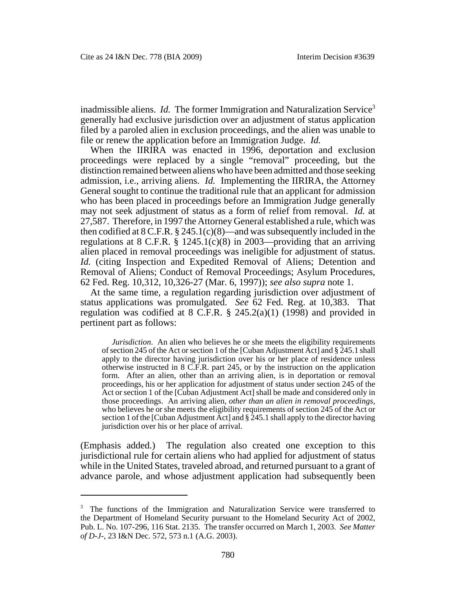inadmissible aliens. *Id.* The former Immigration and Naturalization Service<sup>3</sup> generally had exclusive jurisdiction over an adjustment of status application filed by a paroled alien in exclusion proceedings, and the alien was unable to file or renew the application before an Immigration Judge. *Id.* 

When the IIRIRA was enacted in 1996, deportation and exclusion proceedings were replaced by a single "removal" proceeding, but the distinction remained between aliens who have been admitted and those seeking admission, i.e., arriving aliens. *Id.* Implementing the IIRIRA, the Attorney General sought to continue the traditional rule that an applicant for admission who has been placed in proceedings before an Immigration Judge generally may not seek adjustment of status as a form of relief from removal. *Id.* at 27,587. Therefore, in 1997 the Attorney General established a rule, which was then codified at  $8$  C.F.R.  $\S$  245.1(c)(8)—and was subsequently included in the regulations at 8 C.F.R. § 1245.1(c)(8) in 2003—providing that an arriving alien placed in removal proceedings was ineligible for adjustment of status. *Id.* (citing Inspection and Expedited Removal of Aliens; Detention and Removal of Aliens; Conduct of Removal Proceedings; Asylum Procedures, 62 Fed. Reg. 10,312, 10,326-27 (Mar. 6, 1997)); *see also supra* note 1.

At the same time, a regulation regarding jurisdiction over adjustment of status applications was promulgated. *See* 62 Fed. Reg. at 10,383. That regulation was codified at  $8$  C.F.R.  $\S$  245.2(a)(1) (1998) and provided in pertinent part as follows:

*Jurisdiction*. An alien who believes he or she meets the eligibility requirements of section 245 of the Act or section 1 of the [Cuban Adjustment Act] and § 245.1 shall apply to the director having jurisdiction over his or her place of residence unless otherwise instructed in 8 C.F.R. part 245, or by the instruction on the application form. After an alien, other than an arriving alien, is in deportation or removal proceedings, his or her application for adjustment of status under section 245 of the Act or section 1 of the [Cuban Adjustment Act] shall be made and considered only in those proceedings. An arriving alien, *other than an alien in removal proceedings*, who believes he or she meets the eligibility requirements of section 245 of the Act or section 1 of the [Cuban Adjustment Act] and  $\S$  245.1 shall apply to the director having jurisdiction over his or her place of arrival.

(Emphasis added.) The regulation also created one exception to this jurisdictional rule for certain aliens who had applied for adjustment of status while in the United States, traveled abroad, and returned pursuant to a grant of advance parole, and whose adjustment application had subsequently been

<sup>&</sup>lt;sup>3</sup> The functions of the Immigration and Naturalization Service were transferred to the Department of Homeland Security pursuant to the Homeland Security Act of 2002, Pub. L. No. 107-296, 116 Stat. 2135. The transfer occurred on March 1, 2003. *See Matter of D-J-*, 23 I&N Dec. 572, 573 n.1 (A.G. 2003).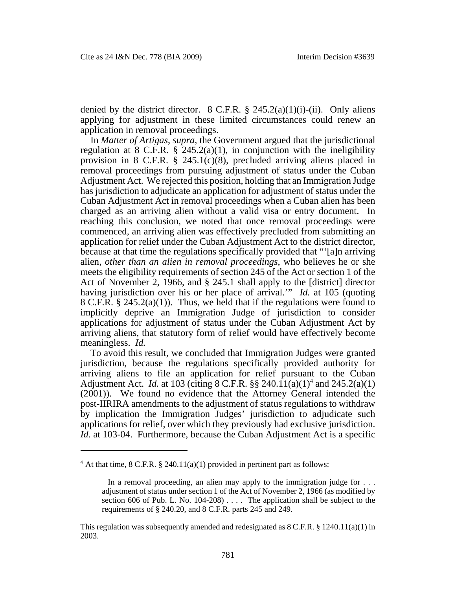denied by the district director.  $8 \text{ C.F.R.}$   $\frac{8}{9}$  245.2(a)(1)(i)-(ii). Only aliens applying for adjustment in these limited circumstances could renew an application in removal proceedings.

In *Matter of Artigas*, *supra*, the Government argued that the jurisdictional regulation at 8 C.F.R.  $\S$  245.2(a)(1), in conjunction with the ineligibility provision in 8 C.F.R. § 245.1(c)(8), precluded arriving aliens placed in removal proceedings from pursuing adjustment of status under the Cuban Adjustment Act. We rejected this position, holding that an Immigration Judge has jurisdiction to adjudicate an application for adjustment of status under the Cuban Adjustment Act in removal proceedings when a Cuban alien has been charged as an arriving alien without a valid visa or entry document. In reaching this conclusion, we noted that once removal proceedings were commenced, an arriving alien was effectively precluded from submitting an application for relief under the Cuban Adjustment Act to the district director, because at that time the regulations specifically provided that "'[a]n arriving alien, *other than an alien in removal proceedings*, who believes he or she meets the eligibility requirements of section 245 of the Act or section 1 of the Act of November 2, 1966, and § 245.1 shall apply to the [district] director having jurisdiction over his or her place of arrival.'" *Id.* at 105 (quoting 8 C.F.R. § 245.2(a)(1)). Thus, we held that if the regulations were found to implicitly deprive an Immigration Judge of jurisdiction to consider applications for adjustment of status under the Cuban Adjustment Act by arriving aliens, that statutory form of relief would have effectively become meaningless. *Id.*

To avoid this result, we concluded that Immigration Judges were granted jurisdiction, because the regulations specifically provided authority for arriving aliens to file an application for relief pursuant to the Cuban Adjustment Act. *Id.* at 103 (citing 8 C.F.R.  $\S\S 240.11(a)(1)^4$  and  $245.2(a)(1)$ (2001)). We found no evidence that the Attorney General intended the post-IIRIRA amendments to the adjustment of status regulations to withdraw by implication the Immigration Judges' jurisdiction to adjudicate such applications for relief, over which they previously had exclusive jurisdiction. *Id.* at 103-04. Furthermore, because the Cuban Adjustment Act is a specific

 $4$  At that time, 8 C.F.R. § 240.11(a)(1) provided in pertinent part as follows:

In a removal proceeding, an alien may apply to the immigration judge for . . . adjustment of status under section 1 of the Act of November 2, 1966 (as modified by section 606 of Pub. L. No. 104-208) . . . . The application shall be subject to the requirements of § 240.20, and 8 C.F.R. parts 245 and 249.

This regulation was subsequently amended and redesignated as  $8 \text{ C.F.R.}$   $\S 1240.11(a)(1)$  in 2003.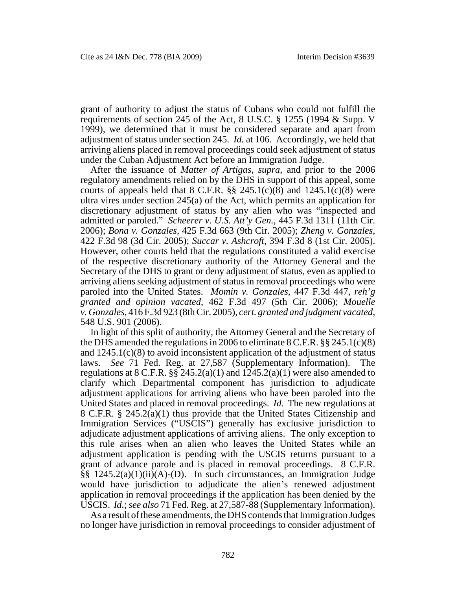grant of authority to adjust the status of Cubans who could not fulfill the requirements of section 245 of the Act, 8 U.S.C. § 1255 (1994 & Supp. V 1999), we determined that it must be considered separate and apart from adjustment of status under section 245. *Id.* at 106. Accordingly, we held that arriving aliens placed in removal proceedings could seek adjustment of status under the Cuban Adjustment Act before an Immigration Judge.

After the issuance of *Matter of Artigas*, *supra*, and prior to the 2006 regulatory amendments relied on by the DHS in support of this appeal, some courts of appeals held that  $8 \text{ C.F.R.}$   $\S\S 245.1(c)(8)$  and  $1245.1(c)(8)$  were ultra vires under section 245(a) of the Act, which permits an application for discretionary adjustment of status by any alien who was "inspected and admitted or paroled." *Scheerer v. U.S. Att'y Gen.*, 445 F.3d 1311 (11th Cir. 2006); *Bona v. Gonzales*, 425 F.3d 663 (9th Cir. 2005); *Zheng v. Gonzales*, 422 F.3d 98 (3d Cir. 2005); *Succar v. Ashcroft*, 394 F.3d 8 (1st Cir. 2005). However, other courts held that the regulations constituted a valid exercise of the respective discretionary authority of the Attorney General and the Secretary of the DHS to grant or deny adjustment of status, even as applied to arriving aliens seeking adjustment of status in removal proceedings who were paroled into the United States. *Momin v. Gonzales*, 447 F.3d 447, *reh'g granted and opinion vacated*, 462 F.3d 497 (5th Cir. 2006); *Mouelle v. Gonzales*, 416 F.3d 923 (8th Cir. 2005), *cert. granted and judgment vacated*, 548 U.S. 901 (2006).

In light of this split of authority, the Attorney General and the Secretary of the DHS amended the regulations in 2006 to eliminate 8 C.F.R. §§ 245.1(c)(8) and 1245.1(c)(8) to avoid inconsistent application of the adjustment of status laws. *See* 71 Fed. Reg. at 27,587 (Supplementary Information). The regulations at  $8 \text{ C.F.R. }$  §§  $245.2(a)(1)$  and  $1245.2(a)(1)$  were also amended to clarify which Departmental component has jurisdiction to adjudicate adjustment applications for arriving aliens who have been paroled into the United States and placed in removal proceedings. *Id.* The new regulations at 8 C.F.R. § 245.2(a)(1) thus provide that the United States Citizenship and Immigration Services ("USCIS") generally has exclusive jurisdiction to adjudicate adjustment applications of arriving aliens. The only exception to this rule arises when an alien who leaves the United States while an adjustment application is pending with the USCIS returns pursuant to a grant of advance parole and is placed in removal proceedings. 8 C.F.R. §§ 1245.2(a)(1)(ii)(A)-(D). In such circumstances, an Immigration Judge would have jurisdiction to adjudicate the alien's renewed adjustment application in removal proceedings if the application has been denied by the USCIS. *Id.*; *see also* 71 Fed. Reg. at 27,587-88 (Supplementary Information).

As a result of these amendments, the DHS contends that Immigration Judges no longer have jurisdiction in removal proceedings to consider adjustment of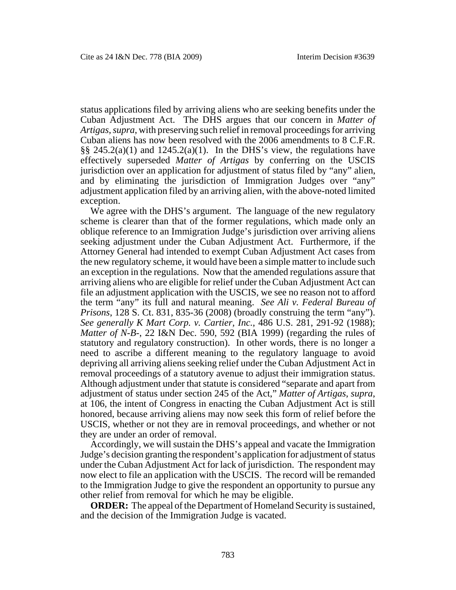status applications filed by arriving aliens who are seeking benefits under the Cuban Adjustment Act. The DHS argues that our concern in *Matter of Artigas*, *supra*, with preserving such relief in removal proceedings for arriving Cuban aliens has now been resolved with the 2006 amendments to 8 C.F.R. §§  $245.2(a)(1)$  and  $1245.2(a)(1)$ . In the DHS's view, the regulations have effectively superseded *Matter of Artigas* by conferring on the USCIS jurisdiction over an application for adjustment of status filed by "any" alien, and by eliminating the jurisdiction of Immigration Judges over "any" adjustment application filed by an arriving alien, with the above-noted limited exception.

We agree with the DHS's argument. The language of the new regulatory scheme is clearer than that of the former regulations, which made only an oblique reference to an Immigration Judge's jurisdiction over arriving aliens seeking adjustment under the Cuban Adjustment Act. Furthermore, if the Attorney General had intended to exempt Cuban Adjustment Act cases from the new regulatory scheme, it would have been a simple matter to include such an exception in the regulations. Now that the amended regulations assure that arriving aliens who are eligible for relief under the Cuban Adjustment Act can file an adjustment application with the USCIS, we see no reason not to afford the term "any" its full and natural meaning. *See Ali v. Federal Bureau of Prisons*, 128 S. Ct. 831, 835-36 (2008) (broadly construing the term "any"). *See generally K Mart Corp. v. Cartier, Inc.*, 486 U.S. 281, 291-92 (1988); *Matter of N-B-*, 22 I&N Dec. 590, 592 (BIA 1999) (regarding the rules of statutory and regulatory construction). In other words, there is no longer a need to ascribe a different meaning to the regulatory language to avoid depriving all arriving aliens seeking relief under the Cuban Adjustment Act in removal proceedings of a statutory avenue to adjust their immigration status. Although adjustment under that statute is considered "separate and apart from adjustment of status under section 245 of the Act," *Matter of Artigas*, *supra*, at 106, the intent of Congress in enacting the Cuban Adjustment Act is still honored, because arriving aliens may now seek this form of relief before the USCIS, whether or not they are in removal proceedings, and whether or not they are under an order of removal.

Accordingly, we will sustain the DHS's appeal and vacate the Immigration Judge's decision granting the respondent's application for adjustment of status under the Cuban Adjustment Act for lack of jurisdiction. The respondent may now elect to file an application with the USCIS. The record will be remanded to the Immigration Judge to give the respondent an opportunity to pursue any other relief from removal for which he may be eligible.

**ORDER:** The appeal of the Department of Homeland Security is sustained, and the decision of the Immigration Judge is vacated.